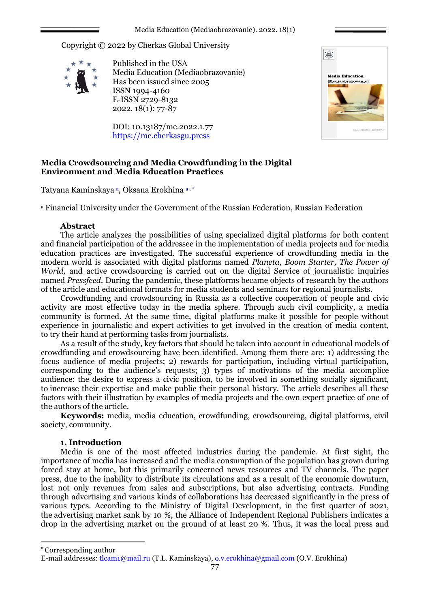Copyright © 2022 by Cherkas Global University



Published in the USA Media Education (Mediaobrazovanie) Has been issued since 2005 ISSN 1994-4160 E-ISSN 2729-8132 2022. 18(1): 77-87

DOI: 10.13187/me.2022.1.77 https://me.cherkasgu.press



# **Media Crowdsourcing and Media Crowdfunding in the Digital Environment and Media Education Practices**

Tatyana Kaminskaya <del>a,</del> Oksana Erokhina <del>a, \*</del>

<sup>a</sup> Financial University under the Government of the Russian Federation, Russian Federation

## **Abstract**

The article analyzes the possibilities of using specialized digital platforms for both content and financial participation of the addressee in the implementation of media projects and for media education practices are investigated. The successful experience of crowdfunding media in the modern world is associated with digital platforms named *Planeta, Boom Starter, The Power of World,* and active crowdsourcing is carried out on the digital Service of journalistic inquiries named *Pressfeed.* During the pandemic, these platforms became objects of research by the authors of the article and educational formats for media students and seminars for regional journalists.

Crowdfunding and crowdsourcing in Russia as a collective cooperation of people and civic activity are most effective today in the media sphere. Through such civil complicity, a media community is formed. At the same time, digital platforms make it possible for people without experience in journalistic and expert activities to get involved in the creation of media content, to try their hand at performing tasks from journalists.

As a result of the study, key factors that should be taken into account in educational models of crowdfunding and crowdsourcing have been identified. Among them there are: 1) addressing the focus audience of media projects; 2) rewards for participation, including virtual participation, corresponding to the audience's requests; 3) types of motivations of the media accomplice audience: the desire to express a civic position, to be involved in something socially significant, to increase their expertise and make public their personal history. The article describes all these factors with their illustration by examples of media projects and the own expert practice of one of the authors of the article.

**Keywords:** media, media education, crowdfunding, crowdsourcing, digital platforms, civil society, community.

# **1. Introduction**

Media is one of the most affected industries during the pandemic. At first sight, the importance of media has increased and the media consumption of the population has grown during forced stay at home, but this primarily concerned news resources and TV channels. The paper press, due to the inability to distribute its circulations and as a result of the economic downturn, lost not only revenues from sales and subscriptions, but also advertising contracts. Funding through advertising and various kinds of collaborations has decreased significantly in the press of various types. According to the Ministry of Digital Development, in the first quarter of 2021, the advertising market sank by 10 %, the Alliance of Independent Regional Publishers indicates a drop in the advertising market on the ground of at least 20 %. Thus, it was the local press and

1

<sup>\*</sup> Corresponding author

E-mail addresses: [tlcam1@mail.ru](mailto:tlcam1@mail.ru) (T.L. Kaminskaya), o.v.erokhina@gmail.com (O.V. Erokhina)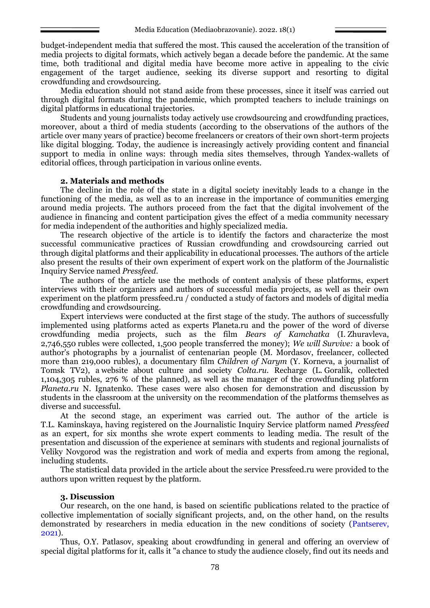budget-independent media that suffered the most. This caused the acceleration of the transition of media projects to digital formats, which actively began a decade before the pandemic. At the same time, both traditional and digital media have become more active in appealing to the civic engagement of the target audience, seeking its diverse support and resorting to digital crowdfunding and crowdsourcing.

Media education should not stand aside from these processes, since it itself was carried out through digital formats during the pandemic, which prompted teachers to include trainings on digital platforms in educational trajectories.

Students and young journalists today actively use crowdsourcing and crowdfunding practices, moreover, about a third of media students (according to the observations of the authors of the article over many years of practice) become freelancers or creators of their own short-term projects like digital blogging. Today, the audience is increasingly actively providing content and financial support to media in online ways: through media sites themselves, through Yandex-wallets of editorial offices, through participation in various online events.

### **2. Materials and methods**

The decline in the role of the state in a digital society inevitably leads to a change in the functioning of the media, as well as to an increase in the importance of communities emerging around media projects. The authors proceed from the fact that the digital involvement of the audience in financing and content participation gives the effect of a media community necessary for media independent of the authorities and highly specialized media.

The research objective of the article is to identify the factors and characterize the most successful communicative practices of Russian crowdfunding and crowdsourcing carried out through digital platforms and their applicability in educational processes. The authors of the article also present the results of their own experiment of expert work on the platform of the Journalistic Inquiry Service named *Pressfeed.*

The authors of the article use the methods of content analysis of these platforms, expert interviews with their organizers and authors of successful media projects, as well as their own experiment on the platform pressfeed.ru / conducted a study of factors and models of digital media crowdfunding and crowdsourcing.

Expert interviews were conducted at the first stage of the study. The authors of successfully implemented using platforms acted as experts Planeta.ru and the power of the word of diverse crowdfunding media projects, such as the film *Bears of Kamchatka* (I. Zhuravleva, 2,746,550 rubles were collected, 1,500 people transferred the money); *We will Survive:* a book of author's photographs by a journalist of centenarian people (M. Mordasov, freelancer, collected more than 219,000 rubles), a documentary film *Children of Narym* (Y. Korneva, a journalist of Tomsk TV2), a website about culture and society *Colta.ru*. Recharge (L. Goralik, collected 1,104,305 rubles, 276 % of the planned), as well as the manager of the crowdfunding platform *Planeta.ru* N. Ignatenko. These cases were also chosen for demonstration and discussion by students in the classroom at the university on the recommendation of the platforms themselves as diverse and successful.

At the second stage, an experiment was carried out. The author of the article is T.L. Kaminskaya, having registered on the Journalistic Inquiry Service platform named *Pressfeed* as an expert, for six months she wrote expert comments to leading media. The result of the presentation and discussion of the experience at seminars with students and regional journalists of Veliky Novgorod was the registration and work of media and experts from among the regional, including students.

The statistical data provided in the article about the service Pressfeed.ru were provided to the authors upon written request by the platform.

### **3. Discussion**

Our research, on the one hand, is based on scientific publications related to the practice of collective implementation of socially significant projects, and, on the other hand, on the results demonstrated by researchers in media education in the new conditions of society (Pantserev, 2021).

Thus, O.Y. Patlasov, speaking about crowdfunding in general and offering an overview of special digital platforms for it, calls it "a chance to study the audience closely, find out its needs and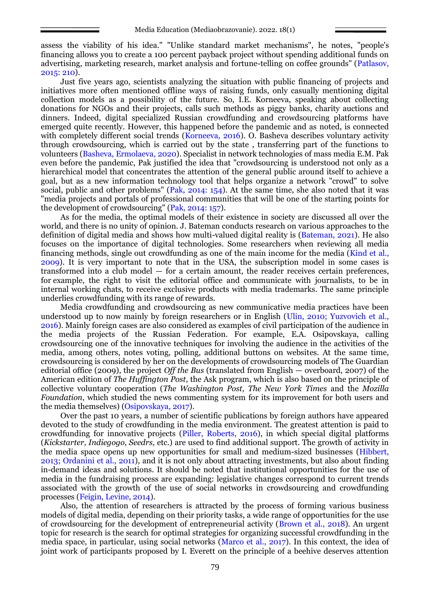assess the viability of his idea." "Unlike standard market mechanisms", he notes, "people's financing allows you to create a 100 percent payback project without spending additional funds on advertising, marketing research, market analysis and fortune-telling on coffee grounds" (Patlasov, 2015: 210).

Just five years ago, scientists analyzing the situation with public financing of projects and initiatives more often mentioned offline ways of raising funds, only casually mentioning digital collection models as a possibility of the future. So, I.E. Korneeva, speaking about collecting donations for NGOs and their projects, calls such methods as piggy banks, charity auctions and dinners. Indeed, digital specialized Russian crowdfunding and crowdsourcing platforms have emerged quite recently. However, this happened before the pandemic and as noted, is connected with completely different social trends (Korneeva, 2016). O. Basheva describes voluntary activity through crowdsourcing, which is carried out by the state , transferring part of the functions to volunteers (Basheva, Ermolaeva, 2020). Specialist in network technologies of mass media E.M. Pak even before the pandemic, Pak justified the idea that "crowdsourcing is understood not only as a hierarchical model that concentrates the attention of the general public around itself to achieve a goal, but as a new information technology tool that helps organize a network "crowd" to solve social, public and other problems" (Pak, 2014: 154). At the same time, she also noted that it was "media projects and portals of professional communities that will be one of the starting points for the development of crowdsourcing" (Pak, 2014: 157).

As for the media, the optimal models of their existence in society are discussed all over the world, and there is no unity of opinion. J. Bateman conducts research on various approaches to the definition of digital media and shows how multi-valued digital reality is (Bateman, 2021). He also focuses on the importance of digital technologies. Some researchers when reviewing all media financing methods, single out crowdfunding as one of the main income for the media (Kind et al., 2009). It is very important to note that in the USA, the subscription model in some cases is transformed into a club model — for a certain amount, the reader receives certain preferences, for example, the right to visit the editorial office and communicate with journalists, to be in internal working chats, to receive exclusive products with media trademarks. The same principle underlies crowdfunding with its range of rewards.

Media crowdfunding and crowdsourcing as new communicative media practices have been understood up to now mainly by foreign researchers or in English (Ulin, 2010; Yuzvovich et al., 2016). Mainly foreign cases are also considered as examples of civil participation of the audience in the media projects of the Russian Federation. For example, E.A. Osipovskaya, calling crowdsourcing one of the innovative techniques for involving the audience in the activities of the media, among others, notes voting, polling, additional buttons on websites. At the same time, crowdsourcing is considered by her on the developments of crowdsourcing models of The Guardian editorial office (2009), the project *Off the Bus* (translated from English — overboard, 2007) of the American edition of *The Huffington Post*, the Ask program, which is also based on the principle of collective voluntary cooperation (*The Washington Post, The New York Times* and the *Mozilla Foundation*, which studied the news commenting system for its improvement for both users and the media themselves) (Osipovskaya, 2017).

Over the past 10 years, a number of scientific publications by foreign authors have appeared devoted to the study of crowdfunding in the media environment. The greatest attention is paid to crowdfunding for innovative projects (Piller, Roberts, 2016), in which special digital platforms (*Kickstarter, Indiegogo, Seedrs,* etc.) are used to find additional support. The growth of activity in the media space opens up new opportunities for small and medium-sized businesses (Hibbert, 2013; Ordanini et al., 2011), and it is not only about attracting investments, but also about finding in-demand ideas and solutions. It should be noted that institutional opportunities for the use of media in the fundraising process are expanding: legislative changes correspond to current trends associated with the growth of the use of social networks in crowdsourcing and crowdfunding processes (Feigin, Levine, 2014).

Also, the attention of researchers is attracted by the process of forming various business models of digital media, depending on their priority tasks, a wide range of opportunities for the use of crowdsourcing for the development of entrepreneurial activity (Brown et al., 2018). An urgent topic for research is the search for optimal strategies for organizing successful crowdfunding in the media space, in particular, using social networks (Marco et al., 2017). In this context, the idea of joint work of participants proposed by I. Everett on the principle of a beehive deserves attention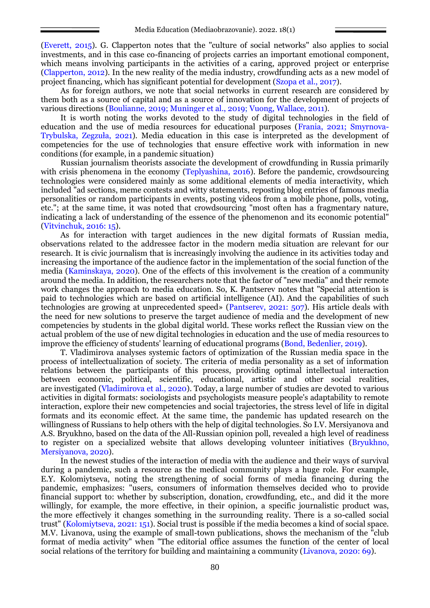(Everett, 2015). G. Clapperton notes that the "culture of social networks" also applies to social investments, and in this case co-financing of projects carries an important emotional component, which means involving participants in the activities of a caring, approved project or enterprise (Clapperton, 2012). In the new reality of the media industry, crowdfunding acts as a new model of project financing, which has significant potential for development (Szopa et al., 2017).

As for foreign authors, we note that social networks in current research are considered by them both as a source of capital and as a source of innovation for the development of projects of various directions (Boulianne, 2019; Muninger et al., 2019; Vuong, Wallace, 2011).

It is worth noting the works devoted to the study of digital technologies in the field of education and the use of media resources for educational purposes (Frania, 2021; Smyrnova-Trybulska, Zegzuła, 2021). Media education in this case is interpreted as the development of competencies for the use of technologies that ensure effective work with information in new conditions (for example, in a pandemic situation)

Russian journalism theorists associate the development of crowdfunding in Russia primarily with crisis phenomena in the economy (Teplyashina, 2016). Before the pandemic, crowdsourcing technologies were considered mainly as some additional elements of media interactivity, which included "ad sections, meme contests and witty statements, reposting blog entries of famous media personalities or random participants in events, posting videos from a mobile phone, polls, voting, etc."; at the same time, it was noted that crowdsourcing "most often has a fragmentary nature, indicating a lack of understanding of the essence of the phenomenon and its economic potential" (Vitvinchuk, 2016: 15).

As for interaction with target audiences in the new digital formats of Russian media, observations related to the addressee factor in the modern media situation are relevant for our research. It is civic journalism that is increasingly involving the audience in its activities today and increasing the importance of the audience factor in the implementation of the social function of the media (Kaminskaya, 2020). One of the effects of this involvement is the creation of a community around the media. In addition, the researchers note that the factor of "new media" and their remote work changes the approach to media education. So, K. Pantserev notes that "Special attention is paid to technologies which are based on artificial intelligence (AI). And the capabilities of such technologies are growing at unprecedented speed» (Pantserev, 2021: 507). His article deals with the need for new solutions to preserve the target audience of media and the development of new competencies by students in the global digital world. These works reflect the Russian view on the actual problem of the use of new digital technologies in education and the use of media resources to improve the efficiency of students' learning of educational programs (Bond, Bedenlier, 2019).

T. Vladimirova analyses systemic factors of optimization of the Russian media space in the process of intellectualization of society. The criteria of media personality as a set of information relations between the participants of this process, providing optimal intellectual interaction between economic, political, scientific, educational, artistic and other social realities, are investigated (Vladimirova et al., 2020). Today, a large number of studies are devoted to various activities in digital formats: sociologists and psychologists measure people's adaptability to remote interaction, explore their new competencies and social trajectories, the stress level of life in digital formats and its economic effect. At the same time, the pandemic has updated research on the willingness of Russians to help others with the help of digital technologies. So I.V. Mersiyanova and A.S. Bryukhno, based on the data of the All-Russian opinion poll, revealed a high level of readiness to register on a specialized website that allows developing volunteer initiatives (Bryukhno, Mersiyanova, 2020).

In the newest studies of the interaction of media with the audience and their ways of survival during a pandemic, such a resource as the medical community plays a huge role. For example, E.Y. Kolomiytseva, noting the strengthening of social forms of media financing during the pandemic, emphasizes: "users, consumers of information themselves decided who to provide financial support to: whether by subscription, donation, crowdfunding, etc., and did it the more willingly, for example, the more effective, in their opinion, a specific journalistic product was, the more effectively it changes something in the surrounding reality. There is a so-called social trust" (Kolomiytseva, 2021: 151). Social trust is possible if the media becomes a kind of social space. M.V. Livanova, using the example of small-town publications, shows the mechanism of the "club format of media activity" when "The editorial office assumes the function of the center of local social relations of the territory for building and maintaining a community (Livanova, 2020: 69).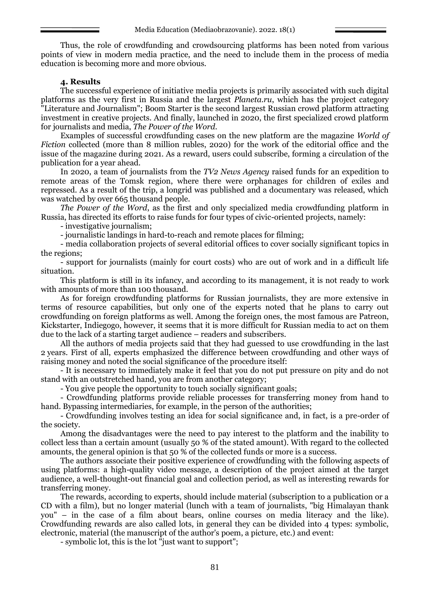Thus, the role of crowdfunding and crowdsourcing platforms has been noted from various points of view in modern media practice, and the need to include them in the process of media education is becoming more and more obvious.

# **4. Results**

The successful experience of initiative media projects is primarily associated with such digital platforms as the very first in Russia and the largest *Planeta.ru*, which has the project category "Literature and Journalism"; Boom Starter is the second largest Russian crowd platform attracting investment in creative projects. And finally, launched in 2020, the first specialized crowd platform for journalists and media, *The Power of the Word*.

Examples of successful crowdfunding cases on the new platform are the magazine *World of Fiction* collected (more than 8 million rubles, 2020) for the work of the editorial office and the issue of the magazine during 2021. As a reward, users could subscribe, forming a circulation of the publication for a year ahead.

In 2020, a team of journalists from the *TV2 News Agency* raised funds for an expedition to remote areas of the Tomsk region, where there were orphanages for children of exiles and repressed. As a result of the trip, a longrid was published and a documentary was released, which was watched by over 665 thousand people.

*The Power of the Word*, as the first and only specialized media crowdfunding platform in Russia, has directed its efforts to raise funds for four types of civic-oriented projects, namely:

- investigative journalism;

- journalistic landings in hard-to-reach and remote places for filming;

- media collaboration projects of several editorial offices to cover socially significant topics in the regions;

- support for journalists (mainly for court costs) who are out of work and in a difficult life situation.

This platform is still in its infancy, and according to its management, it is not ready to work with amounts of more than 100 thousand.

As for foreign crowdfunding platforms for Russian journalists, they are more extensive in terms of resource capabilities, but only one of the experts noted that he plans to carry out crowdfunding on foreign platforms as well. Among the foreign ones, the most famous are Patreon, Kickstarter, Indiegogo, however, it seems that it is more difficult for Russian media to act on them due to the lack of a starting target audience – readers and subscribers.

All the authors of media projects said that they had guessed to use crowdfunding in the last 2 years. First of all, experts emphasized the difference between crowdfunding and other ways of raising money and noted the social significance of the procedure itself:

- It is necessary to immediately make it feel that you do not put pressure on pity and do not stand with an outstretched hand, you are from another category;

- You give people the opportunity to touch socially significant goals;

- Crowdfunding platforms provide reliable processes for transferring money from hand to hand. Bypassing intermediaries, for example, in the person of the authorities;

- Crowdfunding involves testing an idea for social significance and, in fact, is a pre-order of the society.

Among the disadvantages were the need to pay interest to the platform and the inability to collect less than a certain amount (usually 50 % of the stated amount). With regard to the collected amounts, the general opinion is that 50 % of the collected funds or more is a success.

The authors associate their positive experience of crowdfunding with the following aspects of using platforms: a high-quality video message, a description of the project aimed at the target audience, a well-thought-out financial goal and collection period, as well as interesting rewards for transferring money.

The rewards, according to experts, should include material (subscription to a publication or a CD with a film), but no longer material (lunch with a team of journalists, "big Himalayan thank you" – in the case of a film about bears, online courses on media literacy and the like). Crowdfunding rewards are also called lots, in general they can be divided into 4 types: symbolic, electronic, material (the manuscript of the author's poem, a picture, etc.) and event:

- symbolic lot, this is the lot "just want to support";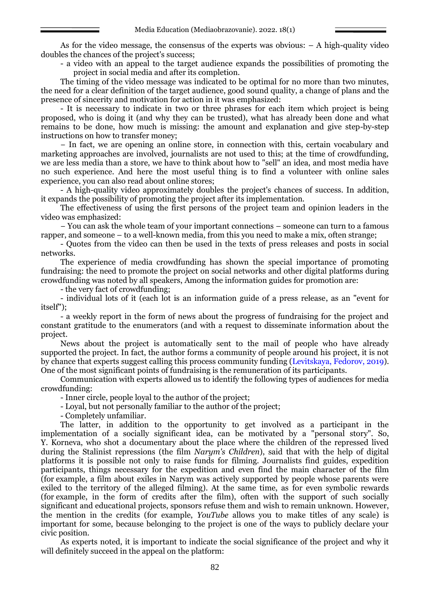As for the video message, the consensus of the experts was obvious: – A high-quality video doubles the chances of the project's success;

- a video with an appeal to the target audience expands the possibilities of promoting the project in social media and after its completion.

The timing of the video message was indicated to be optimal for no more than two minutes, the need for a clear definition of the target audience, good sound quality, a change of plans and the presence of sincerity and motivation for action in it was emphasized:

- It is necessary to indicate in two or three phrases for each item which project is being proposed, who is doing it (and why they can be trusted), what has already been done and what remains to be done, how much is missing: the amount and explanation and give step-by-step instructions on how to transfer money;

− In fact, we are opening an online store, in connection with this, certain vocabulary and marketing approaches are involved, journalists are not used to this; at the time of crowdfunding, we are less media than a store, we have to think about how to "sell" an idea, and most media have no such experience. And here the most useful thing is to find a volunteer with online sales experience, you can also read about online stores;

- A high-quality video approximately doubles the project's chances of success. In addition, it expands the possibility of promoting the project after its implementation.

The effectiveness of using the first persons of the project team and opinion leaders in the video was emphasized:

− You can ask the whole team of your important connections – someone can turn to a famous rapper, and someone – to a well-known media, from this you need to make a mix, often strange;

- Quotes from the video can then be used in the texts of press releases and posts in social networks.

The experience of media crowdfunding has shown the special importance of promoting fundraising: the need to promote the project on social networks and other digital platforms during crowdfunding was noted by all speakers, Among the information guides for promotion are:

- the very fact of crowdfunding;

- individual lots of it (each lot is an information guide of a press release, as an "event for itself");

- a weekly report in the form of news about the progress of fundraising for the project and constant gratitude to the enumerators (and with a request to disseminate information about the project.

News about the project is automatically sent to the mail of people who have already supported the project. In fact, the author forms a community of people around his project, it is not by chance that experts suggest calling this process community funding (Levitskaya, Fedorov, 2019). One of the most significant points of fundraising is the remuneration of its participants.

Communication with experts allowed us to identify the following types of audiences for media crowdfunding:

- Inner circle, people loyal to the author of the project;

- Loyal, but not personally familiar to the author of the project;

- Completely unfamiliar.

The latter, in addition to the opportunity to get involved as a participant in the implementation of a socially significant idea, can be motivated by a "personal story". So, Y. Korneva, who shot a documentary about the place where the children of the repressed lived during the Stalinist repressions (the film *Narym's Children*), said that with the help of digital platforms it is possible not only to raise funds for filming. Journalists find guides, expedition participants, things necessary for the expedition and even find the main character of the film (for example, a film about exiles in Narym was actively supported by people whose parents were exiled to the territory of the alleged filming). At the same time, as for even symbolic rewards (for example, in the form of credits after the film), often with the support of such socially significant and educational projects, sponsors refuse them and wish to remain unknown. However, the mention in the credits (for example, *YouTube* allows you to make titles of any scale) is important for some, because belonging to the project is one of the ways to publicly declare your civic position.

As experts noted, it is important to indicate the social significance of the project and why it will definitely succeed in the appeal on the platform: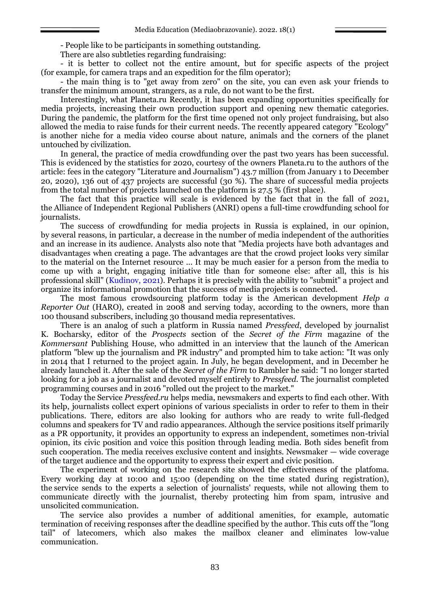- People like to be participants in something outstanding.

There are also subtleties regarding fundraising:

- it is better to collect not the entire amount, but for specific aspects of the project (for example, for camera traps and an expedition for the film operator);

- the main thing is to "get away from zero" on the site, you can even ask your friends to transfer the minimum amount, strangers, as a rule, do not want to be the first.

Interestingly, what Planeta.ru Recently, it has been expanding opportunities specifically for media projects, increasing their own production support and opening new thematic categories. During the pandemic, the platform for the first time opened not only project fundraising, but also allowed the media to raise funds for their current needs. The recently appeared category "Ecology" is another niche for a media video course about nature, animals and the corners of the planet untouched by civilization.

In general, the practice of media crowdfunding over the past two years has been successful. This is evidenced by the statistics for 2020, courtesy of the owners Planeta.ru to the authors of the article: fees in the category "Literature and Journalism") 43.7 million (from January 1 to December 20, 2020), 136 out of 437 projects are successful (30 %). The share of successful media projects from the total number of projects launched on the platform is 27.5 % (first place).

The fact that this practice will scale is evidenced by the fact that in the fall of 2021, the Alliance of Independent Regional Publishers (ANRI) opens a full-time crowdfunding school for journalists.

The success of crowdfunding for media projects in Russia is explained, in our opinion, by several reasons, in particular, a decrease in the number of media independent of the authorities and an increase in its audience. Analysts also note that "Media projects have both advantages and disadvantages when creating a page. The advantages are that the crowd project looks very similar to the material on the Internet resource ... It may be much easier for a person from the media to come up with a bright, engaging initiative title than for someone else: after all, this is his professional skill" (Kudinov, 2021). Perhaps it is precisely with the ability to "submit" a project and organize its informational promotion that the success of media projects is connected.

The most famous crowdsourcing platform today is the American development *Help a Reporter Out* (HARO), created in 2008 and serving today, according to the owners, more than 100 thousand subscribers, including 30 thousand media representatives.

There is an analog of such a platform in Russia named *Pressfeed*, developed by journalist K. Bocharsky, editor of the *Prospects* section of the *Secret of the Firm* magazine of the *Kommersant* Publishing House, who admitted in an interview that the launch of the American platform "blew up the journalism and PR industry" and prompted him to take action: "It was only in 2014 that I returned to the project again. In July, he began development, and in December he already launched it. After the sale of the *Secret of the Firm* to Rambler he said: "I no longer started looking for a job as a journalist and devoted myself entirely to *Pressfeed.* The journalist completed programming courses and in 2016 "rolled out the project to the market."

Today the Service *Pressfeed.ru* helps media, newsmakers and experts to find each other. With its help, journalists collect expert opinions of various specialists in order to refer to them in their publications. There, editors are also looking for authors who are ready to write full-fledged columns and speakers for TV and radio appearances. Although the service positions itself primarily as a PR opportunity, it provides an opportunity to express an independent, sometimes non-trivial opinion, its civic position and voice this position through leading media. Both sides benefit from such cooperation. The media receives exclusive content and insights. Newsmaker — wide coverage of the target audience and the opportunity to express their expert and civic position.

The experiment of working on the research site showed the effectiveness of the platfoma. Every working day at 10:00 and 15:00 (depending on the time stated during registration), the service sends to the experts a selection of journalists' requests, while not allowing them to communicate directly with the journalist, thereby protecting him from spam, intrusive and unsolicited communication.

The service also provides a number of additional amenities, for example, automatic termination of receiving responses after the deadline specified by the author. This cuts off the "long tail" of latecomers, which also makes the mailbox cleaner and eliminates low-value communication.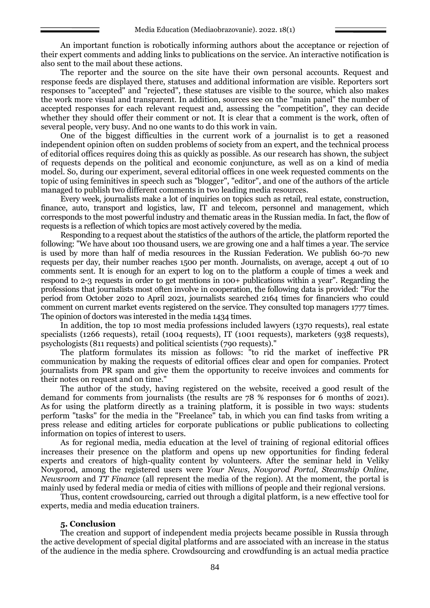An important function is robotically informing authors about the acceptance or rejection of their expert comments and adding links to publications on the service. An interactive notification is also sent to the mail about these actions.

The reporter and the source on the site have their own personal accounts. Request and response feeds are displayed there, statuses and additional information are visible. Reporters sort responses to "accepted" and "rejected", these statuses are visible to the source, which also makes the work more visual and transparent. In addition, sources see on the "main panel" the number of accepted responses for each relevant request and, assessing the "competition", they can decide whether they should offer their comment or not. It is clear that a comment is the work, often of several people, very busy. And no one wants to do this work in vain.

One of the biggest difficulties in the current work of a journalist is to get a reasoned independent opinion often on sudden problems of society from an expert, and the technical process of editorial offices requires doing this as quickly as possible. As our research has shown, the subject of requests depends on the political and economic conjuncture, as well as on a kind of media model. So, during our experiment, several editorial offices in one week requested comments on the topic of using feminitives in speech such as "blogger", "editor", and one of the authors of the article managed to publish two different comments in two leading media resources.

Every week, journalists make a lot of inquiries on topics such as retail, real estate, construction, finance, auto, transport and logistics, law, IT and telecom, personnel and management, which corresponds to the most powerful industry and thematic areas in the Russian media. In fact, the flow of requests is a reflection of which topics are most actively covered by the media.

Responding to a request about the statistics of the authors of the article, the platform reported the following: "We have about 100 thousand users, we are growing one and a half times a year. The service is used by more than half of media resources in the Russian Federation. We publish 60-70 new requests per day, their number reaches 1500 per month. Journalists, on average, accept 4 out of 10 comments sent. It is enough for an expert to log on to the platform a couple of times a week and respond to 2-3 requests in order to get mentions in 100+ publications within a year". Regarding the professions that journalists most often involve in cooperation, the following data is provided: "For the period from October 2020 to April 2021, journalists searched 2164 times for financiers who could comment on current market events registered on the service. They consulted top managers 1777 times. The opinion of doctors was interested in the media 1434 times.

In addition, the top 10 most media professions included lawyers (1370 requests), real estate specialists (1266 requests), retail (1004 requests), IT (1001 requests), marketers (938 requests), psychologists (811 requests) and political scientists (790 requests)."

The platform formulates its mission as follows: "to rid the market of ineffective PR communication by making the requests of editorial offices clear and open for companies. Protect journalists from PR spam and give them the opportunity to receive invoices and comments for their notes on request and on time."

The author of the study, having registered on the website, received a good result of the demand for comments from journalists (the results are 78 % responses for 6 months of 2021). As for using the platform directly as a training platform, it is possible in two ways: students perform "tasks" for the media in the "Freelance" tab, in which you can find tasks from writing a press release and editing articles for corporate publications or public publications to collecting information on topics of interest to users.

As for regional media, media education at the level of training of regional editorial offices increases their presence on the platform and opens up new opportunities for finding federal experts and creators of high-quality content by volunteers. After the seminar held in Veliky Novgorod, among the registered users were *Your News, Novgorod Portal, Steamship Online, Newsroom* and *TT Finance* (all represent the media of the region). At the moment, the portal is mainly used by federal media or media of cities with millions of people and their regional versions.

Thus, content crowdsourcing, carried out through a digital platform, is a new effective tool for experts, media and media education trainers.

#### **5. Conclusion**

The creation and support of independent media projects became possible in Russia through the active development of special digital platforms and are associated with an increase in the status of the audience in the media sphere. Crowdsourcing and crowdfunding is an actual media practice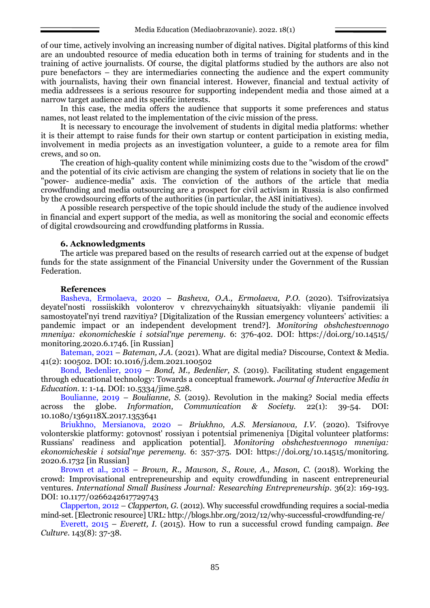of our time, actively involving an increasing number of digital natives. Digital platforms of this kind are an undoubted resource of media education both in terms of training for students and in the training of active journalists. Of course, the digital platforms studied by the authors are also not pure benefactors – they are intermediaries connecting the audience and the expert community with journalists, having their own financial interest. However, financial and textual activity of media addressees is a serious resource for supporting independent media and those aimed at a narrow target audience and its specific interests.

In this case, the media offers the audience that supports it some preferences and status names, not least related to the implementation of the civic mission of the press.

It is necessary to encourage the involvement of students in digital media platforms: whether it is their attempt to raise funds for their own startup or content participation in existing media, involvement in media projects as an investigation volunteer, a guide to a remote area for film crews, and so on.

The creation of high-quality content while minimizing costs due to the "wisdom of the crowd" and the potential of its civic activism are changing the system of relations in society that lie on the "power- audience-media" axis. The conviction of the authors of the article that media crowdfunding and media outsourcing are a prospect for civil activism in Russia is also confirmed by the crowdsourcing efforts of the authorities (in particular, the ASI initiatives).

A possible research perspective of the topic should include the study of the audience involved in financial and expert support of the media, as well as monitoring the social and economic effects of digital crowdsourcing and crowdfunding platforms in Russia.

## **6. Acknowledgments**

The article was prepared based on the results of research carried out at the expense of budget funds for the state assignment of the Financial University under the Government of the Russian Federation.

## **References**

Basheva, Ermolaeva, 2020 – *Basheva, O.A., Ermolaeva, P.O.* (2020). Tsifrovizatsiya deyatel'nosti rossiiskikh volonterov v chrezvychainykh situatsiyakh: vliyanie pandemii ili samostoyatel'nyi trend razvitiya? [Digitalization of the Russian emergency volunteers' activities: a pandemic impact or an independent development trend?]. *Monitoring obshchestvennogo mneniya: ekonomicheskie i sotsial'nye peremeny*. 6: 376-402. DOI: https://doi.org/10.14515/ monitoring.2020.6.1746. [in Russian]

Bateman, 2021 – *Bateman, J.A.* (2021). What are digital media? Discourse, Context & Media. 41(2): 100502. DOI: 10.1016/j.dcm.2021.100502

Bond, Bedenlier, 2019 – *Bond, M., Bedenlier, S.* (2019). Facilitating student engagement through educational technology: Towards a conceptual framework. *Journal of Interactive Media in Education*. 1: 1-14. DOI: 10.5334/jime.528.

Boulianne, 2019 – *Boulianne, S.* (2019). Revolution in the making? Social media effects across the globe. *Information, Communication & Society.* 22(1): 39-54. DOI: 10.1080/1369118X.2017.1353641

Briukhno, Mersianova, 2020 – *Briukhno, A.S. Mersianova, I.V.* (2020). Tsifrovye volonterskie platformy: gotovnost' rossiyan i potentsial primeneniya [Digital volunteer platforms: Russians' readiness and application potential]. *Monitoring obshchestvennogo mneniya: ekonomicheskie i sotsial'nye peremeny.* 6: 357-375. DOI: https://doi.org/10.14515/monitoring. 2020.6.1732 [in Russian]

Brown et al., 2018 – *Brown, R., Mawson, S., Rowe, A., Mason, C.* (2018). Working the crowd: Improvisational entrepreneurship and equity crowdfunding in nascent entrepreneurial ventures. *International Small Business Journal: Researching Entrepreneurship*. 36(2): 169-193. DOI: 10.1177/0266242617729743

Clapperton, 2012 – *Clapperton, G.* (2012). Why successful crowdfunding requires a social-media mind-set. [Electronic resource] URL: http://blogs.hbr.org/2012/12/why-successful-crowdfunding-re/

Everett, 2015 – *Everett, I.* (2015). How to run a successful crowd funding campaign. *Bee Culture*. 143(8): 37-38.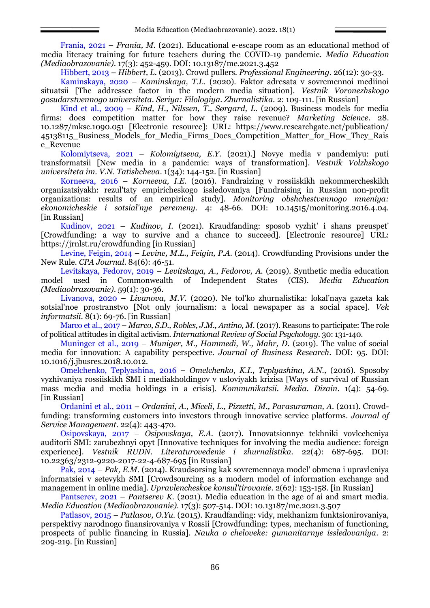Frania, 2021 – *Frania, M.* (2021). Educational e-escape room as an educational method of media literacy training for future teachers during the COVID-19 pandemic. *Media Education (Mediaobrazovanie)*. 17(3): 452-459. DOI: 10.13187/me.2021.3.452

Hibbert, 2013 – *Hibbert, L.* (2013). Crowd pullers. *Professional Engineering.* 26(12): 30-33.

Kaminskaya, 2020 – *Kaminskaya, T.L.* (2020). Faktor adresata v sovremennoi mediinoi situatsii [The addressee factor in the modern media situation]. *Vestnik Voronezhskogo gosudarstvennogo universiteta. Seriya: Filologiya. Zhurnalistika.* 2: 109-111. [in Russian]

Kind et al., 2009 – *Kind, H., Nilssen, T., Sørgard, L.* (2009). Business models for media firms: does competition matter for how they raise revenue? *Marketing Science*. 28. 10.1287/mksc.1090.051 [Electronic resource]: URL: https://www.researchgate.net/publication/ 45138115\_Business\_Models\_for\_Media\_Firms\_Does\_Competition\_Matter\_for\_How\_They\_Rais e\_Revenue

Kolomiytseva, 2021 – *Kolomiytseva, E.Y.* (2021).] Novye media v pandemiyu: puti transformatsii [New media in a pandemic: ways of transformation]. *Vestnik Volzhskogo universiteta im. V.N. Tatishcheva*. 1(34): 144-152. [in Russian]

Korneeva, 2016 – *Korneeva, I.E.* (2016). Fandraizing v rossiiskikh nekommercheskikh organizatsiyakh: rezul'taty empiricheskogo issledovaniya [Fundraising in Russian non-profit organizations: results of an empirical study]. *Monitoring obshchestvennogo mneniya: ekonomicheskie i sotsial'nye peremeny.* 4: 48-66. DOI: 10.14515/monitoring.2016.4.04. [in Russian]

Kudinov, 2021 – *Kudinov, I.* (2021). Kraudfanding: sposob vyzhit' i shans preuspet' [Crowdfunding: a way to survive and a chance to succeed]. [Electronic resource] URL: <https://jrnlst.ru/crowdfunding> [in Russian]

Levine, Feigin, 2014 – *Levine, M.L., Feigin, P.A.* (2014). Crowdfunding Provisions under the New Rule. *CPA Journal*. 84(6): 46-51.

Levitskaya, Fedorov, 2019 – *Levitskaya, A*., *Fedorov, A.* (2019). Synthetic media education model used in Commonwealth of Independent States (CIS). *Media Education (Mediaobrazovanie)*. 59(1): 30-36.

Livanova, 2020 – *Livanova, M.V.* (2020). Ne tol'ko zhurnalistika: lokal'naya gazeta kak sotsial'noe prostranstvo [Not only journalism: a local newspaper as a social space]. *Vek informatsii*. 8(1): 69-76. [in Russian]

Marco et al., 2017 – *Marco, S.D., Robles, J.M., Antino, M.* (2017). Reasons to participate: The role of political attitudes in digital activism. *International Review of Social Psychology*. 30: 131-140.

Muninger et al., 2019 – *Muniger, M., Hammedi, W., Mahr, D.* (2019). The value of social media for innovation: A capability perspective. *Journal of Business Research*. DOI: 95. DOI: 10.1016/j.jbusres.2018.10.012.

Omelchenko, Teplyashina, 2016 – *Omelchenko, K.I., Teplyashina, A.N.,* (2016). Sposoby vyzhivaniya rossiiskikh SMI i mediakholdingov v usloviyakh krizisa [Ways of survival of Russian mass media and media holdings in a crisis]. *Kommunikatsii. Media. Dizain*. 1(4): 54-69. [in Russian]

Ordanini et al., 2011 – *Ordanini, A., Miceli, L., Pizzetti, M., Parasuraman, A.* (2011). Crowdfunding: transforming customers into investors through innovative service platforms. *Journal of Service Management*. 22(4): 443-470.

Osipovskaya, 2017 – *Osipovskaya, E.A.* (2017). Innovatsionnye tekhniki vovlecheniya auditorii SMI: zarubezhnyi opyt [Innovative techniques for involving the media audience: foreign experience]. *Vestnik RUDN. Literaturovedenie i zhurnalistika.* 22(4): 687-695. DOI: 10.22363/2312-9220-2017-22-4-687-695 [in Russian]

Pak, 2014 – *Pak, E.M.* (2014). Kraudsorsing kak sovremennaya model' obmena i upravleniya informatsiei v setevykh SMI [Crowdsourcing as a modern model of information exchange and management in online media]. *Upravlencheskoe konsul'tirovanie*. 2(62): 153-158. [in Russian]

Pantserev, 2021 – *Pantserev K.* (2021). Media education in the age of ai and smart media. *Media Education (Mediaobrazovanie)*. 17(3): 507-514. DOI: 10.13187/me.2021.3.507

Patlasov, 2015 – *Patlasov, O.Yu.* (2015). Kraudfanding: vidy, mekhanizm funktsionirovaniya, perspektivy narodnogo finansirovaniya v Rossii [Crowdfunding: types, mechanism of functioning, prospects of public financing in Russia]. *Nauka o cheloveke: gumanitarnye issledovaniya*. 2: 209-219. [in Russian]